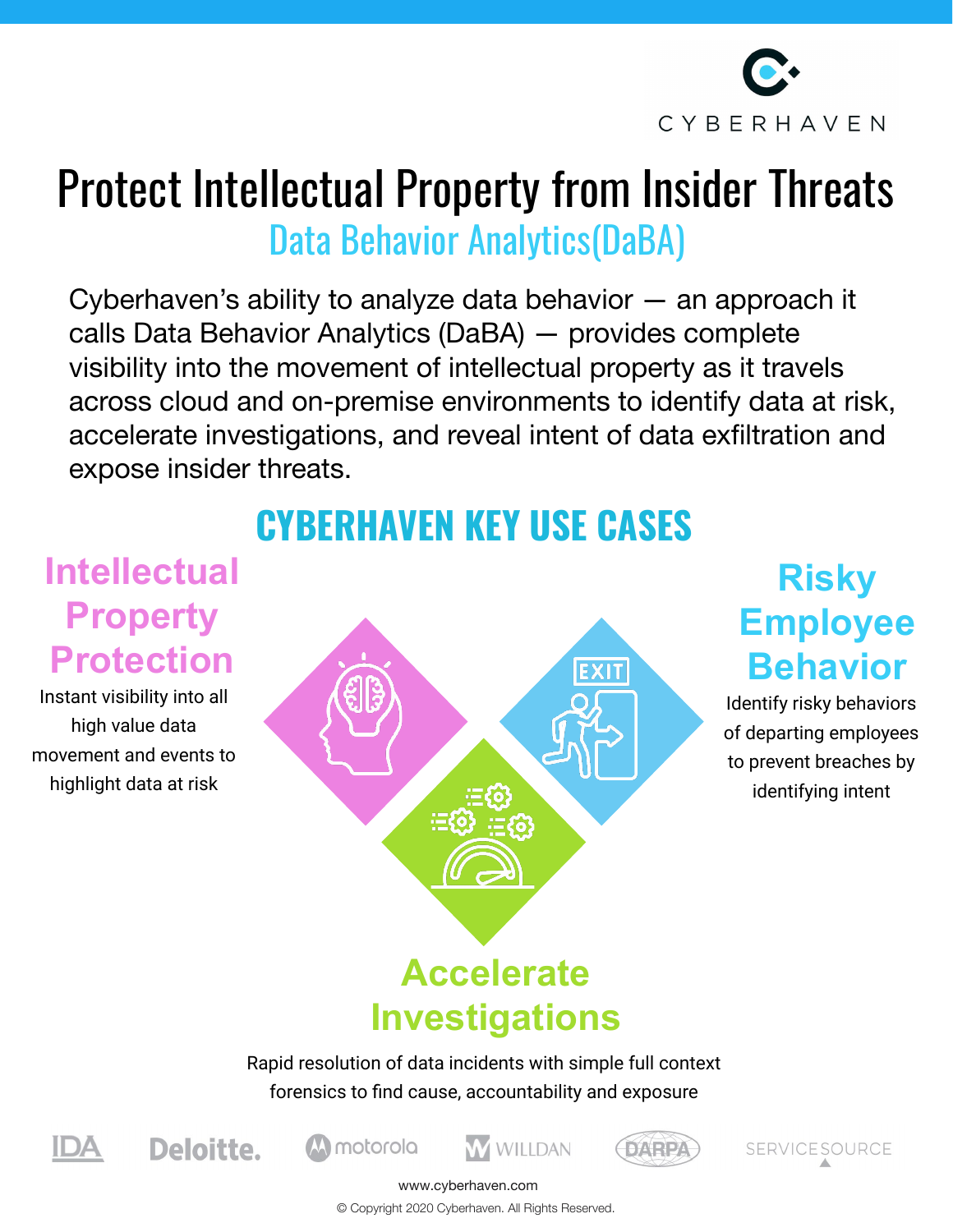

# Protect Intellectual Property from Insider Threats Data Behavior Analytics(DaBA)

Cyberhaven's ability to analyze data behavior — an approach it calls Data Behavior Analytics (DaBA) — provides complete visibility into the movement of intellectual property as it travels across cloud and on-premise environments to identify data at risk, accelerate investigations, and reveal intent of data exfiltration and expose insider threats.

# **CYBERHAVEN KEY USE CASES**

### **Intellectual Property Protection**

Instant visibility into all high value data movement and events to highlight data at risk



## **Risky Employee Behavior**

Identify risky behaviors of departing employees to prevent breaches by identifying intent

# **Investigations**

Rapid resolution of data incidents with simple full context forensics to find cause, accountability and exposure





motorola





www.cyberhaven.com

© Copyright 2020 Cyberhaven. All Rights Reserved.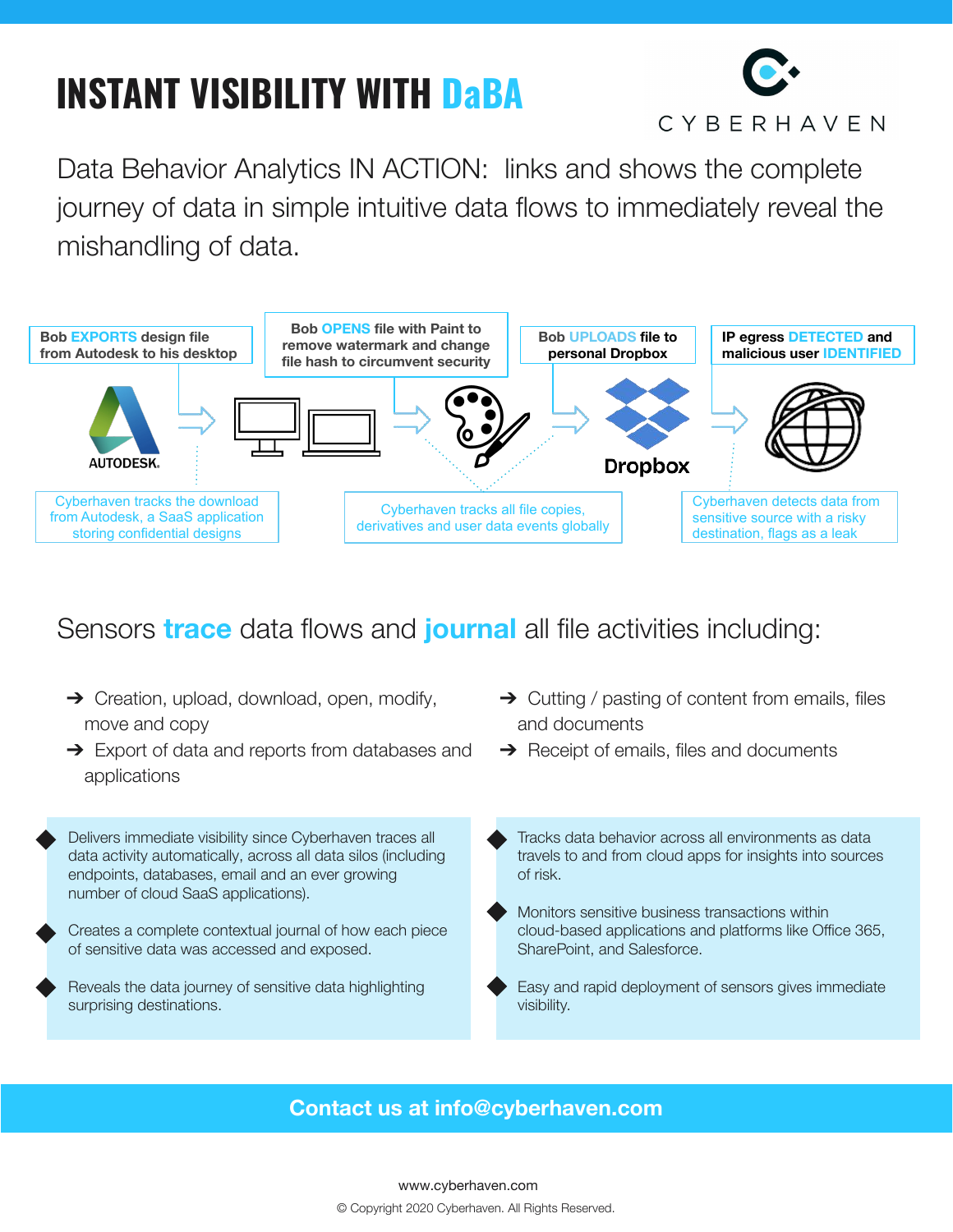# **INSTANT VISIBILITY WITH DaBA**



Data Behavior Analytics IN ACTION: links and shows the complete journey of data in simple intuitive data flows to immediately reveal the mishandling of data.



#### Sensors **trace** data flows and **journal** all file activities including:

- **→** Creation, upload, download, open, modify, move and copy
- **→** Export of data and reports from databases and applications

Delivers immediate visibility since Cyberhaven traces all data activity automatically, across all data silos (including endpoints, databases, email and an ever growing number of cloud SaaS applications).

- Creates a complete contextual journal of how each piece of sensitive data was accessed and exposed.
- Reveals the data journey of sensitive data highlighting surprising destinations.
- $\rightarrow$  Cutting / pasting of content from emails, files and documents
- $\rightarrow$  Receipt of emails, files and documents
- Tracks data behavior across all environments as data travels to and from cloud apps for insights into sources of risk.
- Monitors sensitive business transactions within cloud-based applications and platforms like Office 365, SharePoint, and Salesforce.
- Easy and rapid deployment of sensors gives immediate visibility.

#### **Contact us at info@cyberhaven.com**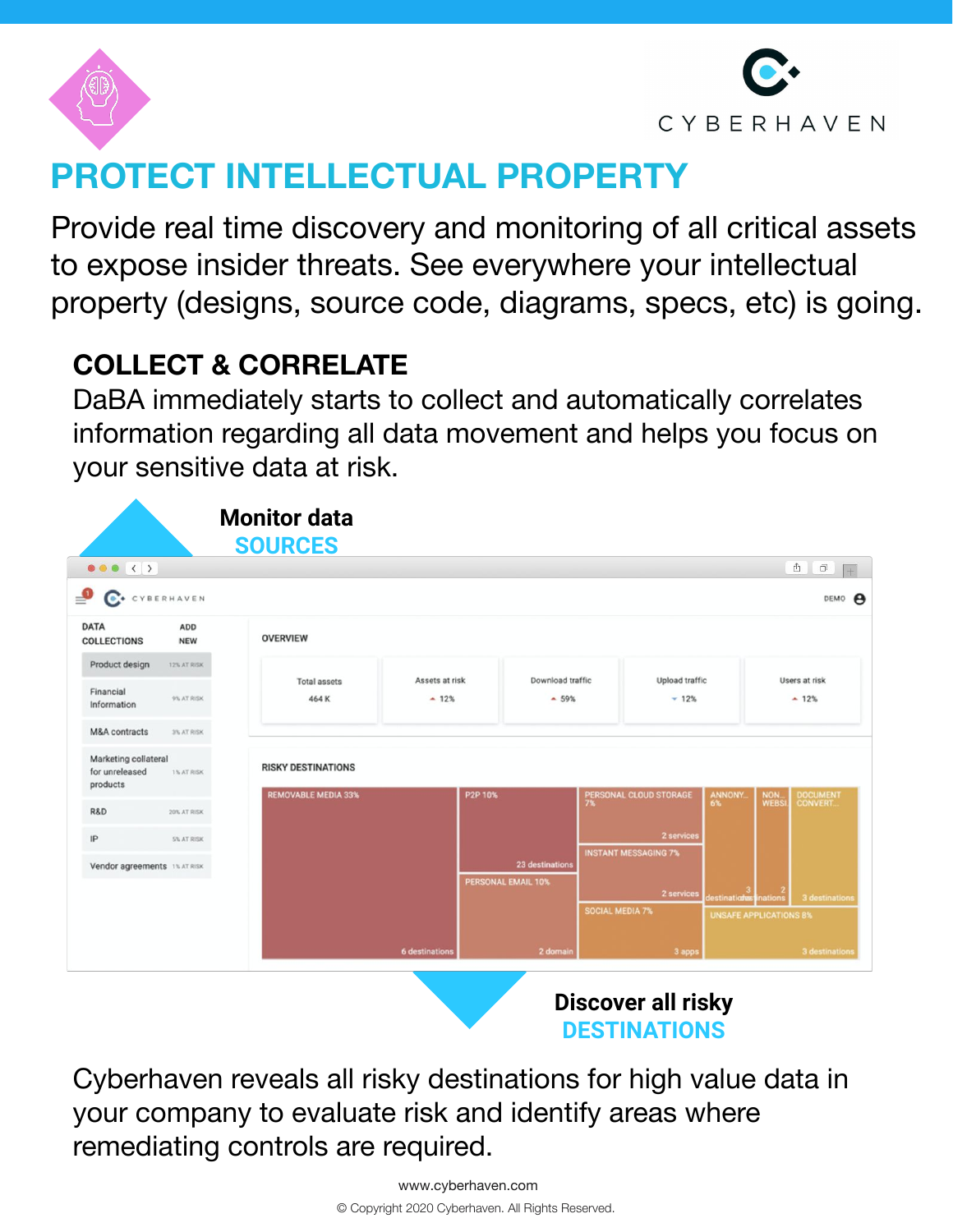



# **PROTECT INTELLECTUAL PROPERTY**

Provide real time discovery and monitoring of all critical assets to expose insider threats. See everywhere your intellectual property (designs, source code, diagrams, specs, etc) is going.

#### **COLLECT & CORRELATE**

DaBA immediately starts to collect and automatically correlates information regarding all data movement and helps you focus on your sensitive data at risk.



Cyberhaven reveals all risky destinations for high value data in your company to evaluate risk and identify areas where remediating controls are required.

**DESTINATIONS**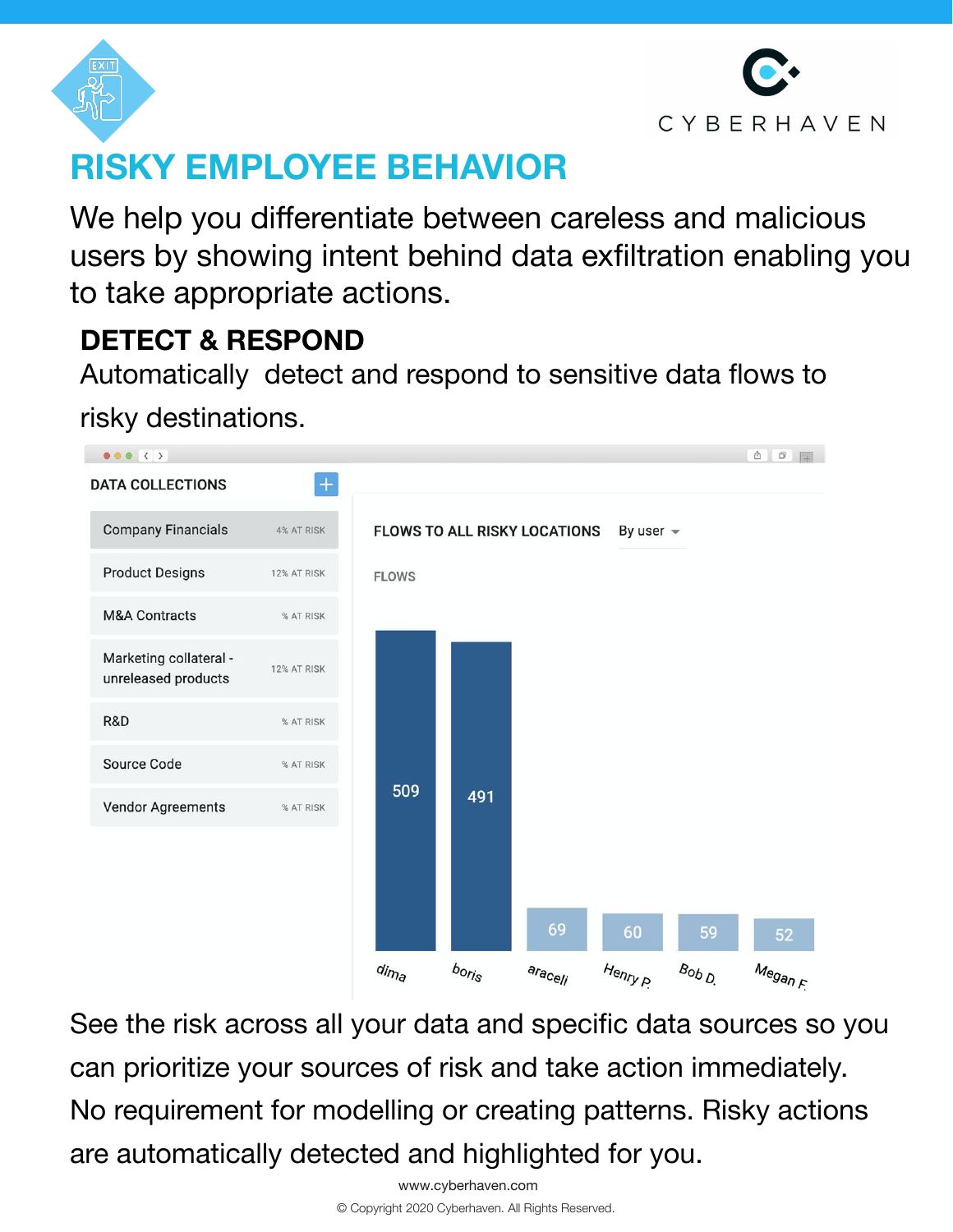



# **RISKY EMPLOYEE BEHAVIOR**

We help you differentiate between careless and malicious users by showing intent behind data exfiltration enabling you to take appropriate actions.

#### **DETECT & RESPOND**

Automatically detect and respond to sensitive data flows to

risky destinations.



See the risk across all your data and specific data sources so you can prioritize your sources of risk and take action immediately. No requirement for modelling or creating patterns. Risky actions are automatically detected and highlighted for you.